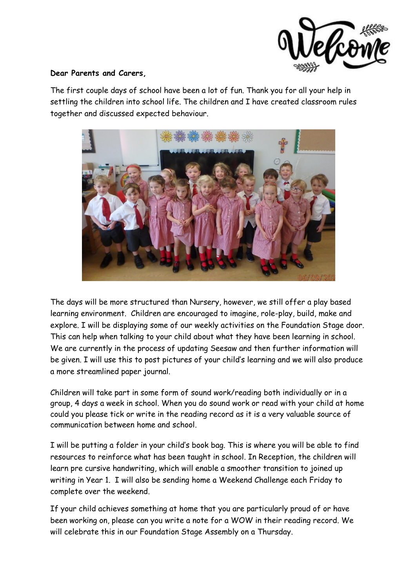

## **Dear Parents and Carers,**

The first couple days of school have been a lot of fun. Thank you for all your help in settling the children into school life. The children and I have created classroom rules together and discussed expected behaviour.



The days will be more structured than Nursery, however, we still offer a play based learning environment. Children are encouraged to imagine, role-play, build, make and explore. I will be displaying some of our weekly activities on the Foundation Stage door. This can help when talking to your child about what they have been learning in school. We are currently in the process of updating Seesaw and then further information will be given. I will use this to post pictures of your child's learning and we will also produce a more streamlined paper journal.

Children will take part in some form of sound work/reading both individually or in a group, 4 days a week in school. When you do sound work or read with your child at home could you please tick or write in the reading record as it is a very valuable source of communication between home and school.

I will be putting a folder in your child's book bag. This is where you will be able to find resources to reinforce what has been taught in school. In Reception, the children will learn pre cursive handwriting, which will enable a smoother transition to joined up writing in Year 1. I will also be sending home a Weekend Challenge each Friday to complete over the weekend.

If your child achieves something at home that you are particularly proud of or have been working on, please can you write a note for a WOW in their reading record. We will celebrate this in our Foundation Stage Assembly on a Thursday.